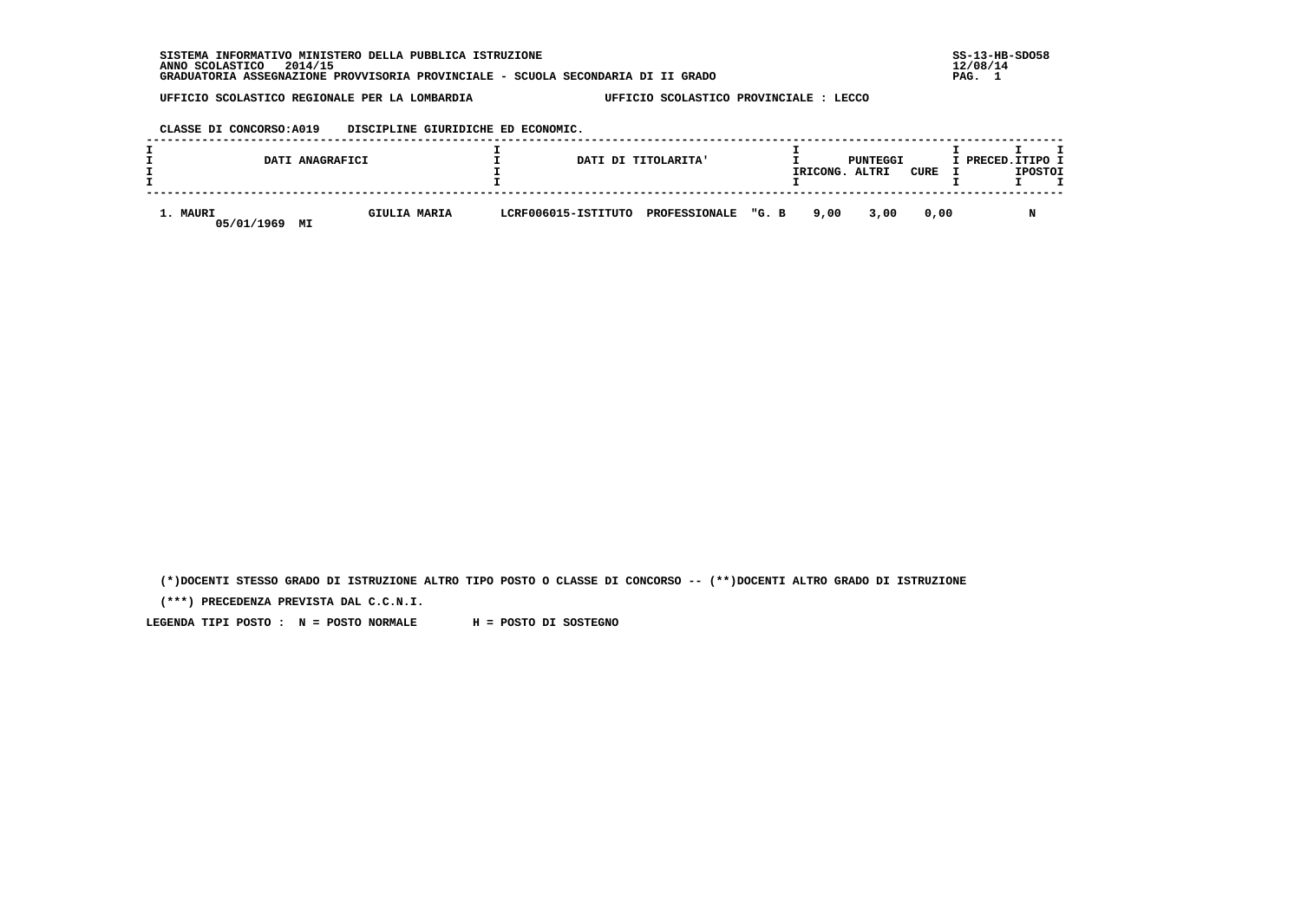**SISTEMA INFORMATIVO MINISTERO DELLA PUBBLICA ISTRUZIONE SS-13-HB-SDO58 ANNO SCOLASTICO 2014/15 12/08/14 GRADUATORIA ASSEGNAZIONE PROVVISORIA PROVINCIALE - SCUOLA SECONDARIA DI II GRADO PAG. 1**

 **UFFICIO SCOLASTICO REGIONALE PER LA LOMBARDIA UFFICIO SCOLASTICO PROVINCIALE : LECCO**

### **CLASSE DI CONCORSO:A019 DISCIPLINE GIURIDICHE ED ECONOMIC.**

|                        | DATI ANAGRAFICI |              |  | DATI DI TITOLARITA'                     | IRICONG. | PUNTEGGI<br>ALTRI | CURE | I PRECED. ITIPO I | <b>IPOSTOI</b> |  |
|------------------------|-----------------|--------------|--|-----------------------------------------|----------|-------------------|------|-------------------|----------------|--|
| 1. MAURI<br>05/01/1969 | MI              | GIULIA MARIA |  | LCRF006015-ISTITUTO PROFESSIONALE "G. B | 9.00     | 3,00              | 0.00 |                   |                |  |

 **(\*)DOCENTI STESSO GRADO DI ISTRUZIONE ALTRO TIPO POSTO O CLASSE DI CONCORSO -- (\*\*)DOCENTI ALTRO GRADO DI ISTRUZIONE**

 **(\*\*\*) PRECEDENZA PREVISTA DAL C.C.N.I.**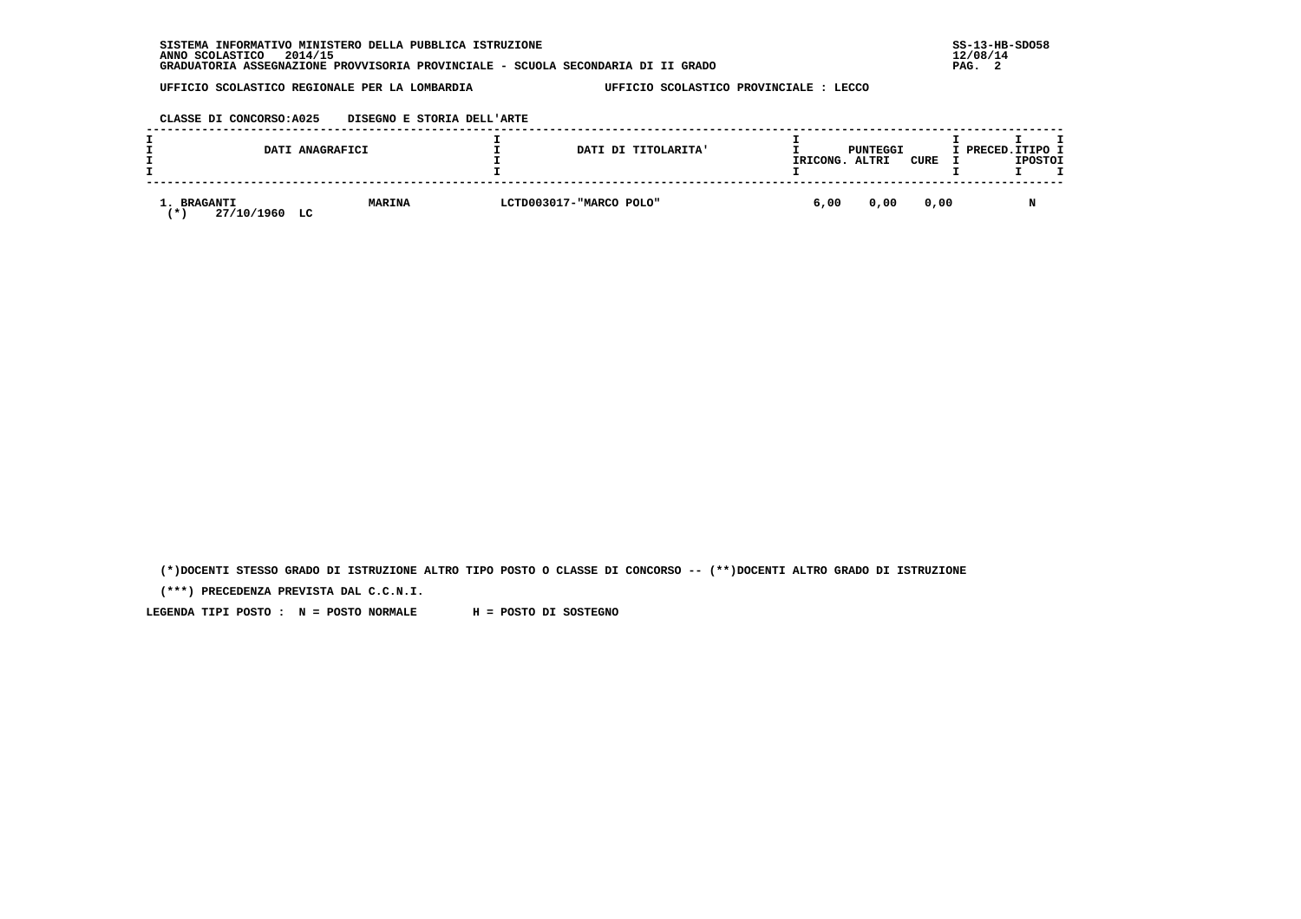### **CLASSE DI CONCORSO:A025 DISEGNO E STORIA DELL'ARTE**

|                                      | DATI ANAGRAFICI     | DATI DI TITOLARITA'     | IRICONG. | PUNTEGGI<br>ALTRI | CURE | I PRECED.ITIPO I | <b>IPOSTOI</b> |  |
|--------------------------------------|---------------------|-------------------------|----------|-------------------|------|------------------|----------------|--|
| 1. BRAGANTI<br>27/10/1960<br>$\star$ | <b>MARINA</b><br>LC | LCTD003017-"MARCO POLO" | 6,00     | 0,00              | 0,00 |                  |                |  |

 **(\*)DOCENTI STESSO GRADO DI ISTRUZIONE ALTRO TIPO POSTO O CLASSE DI CONCORSO -- (\*\*)DOCENTI ALTRO GRADO DI ISTRUZIONE**

 **(\*\*\*) PRECEDENZA PREVISTA DAL C.C.N.I.**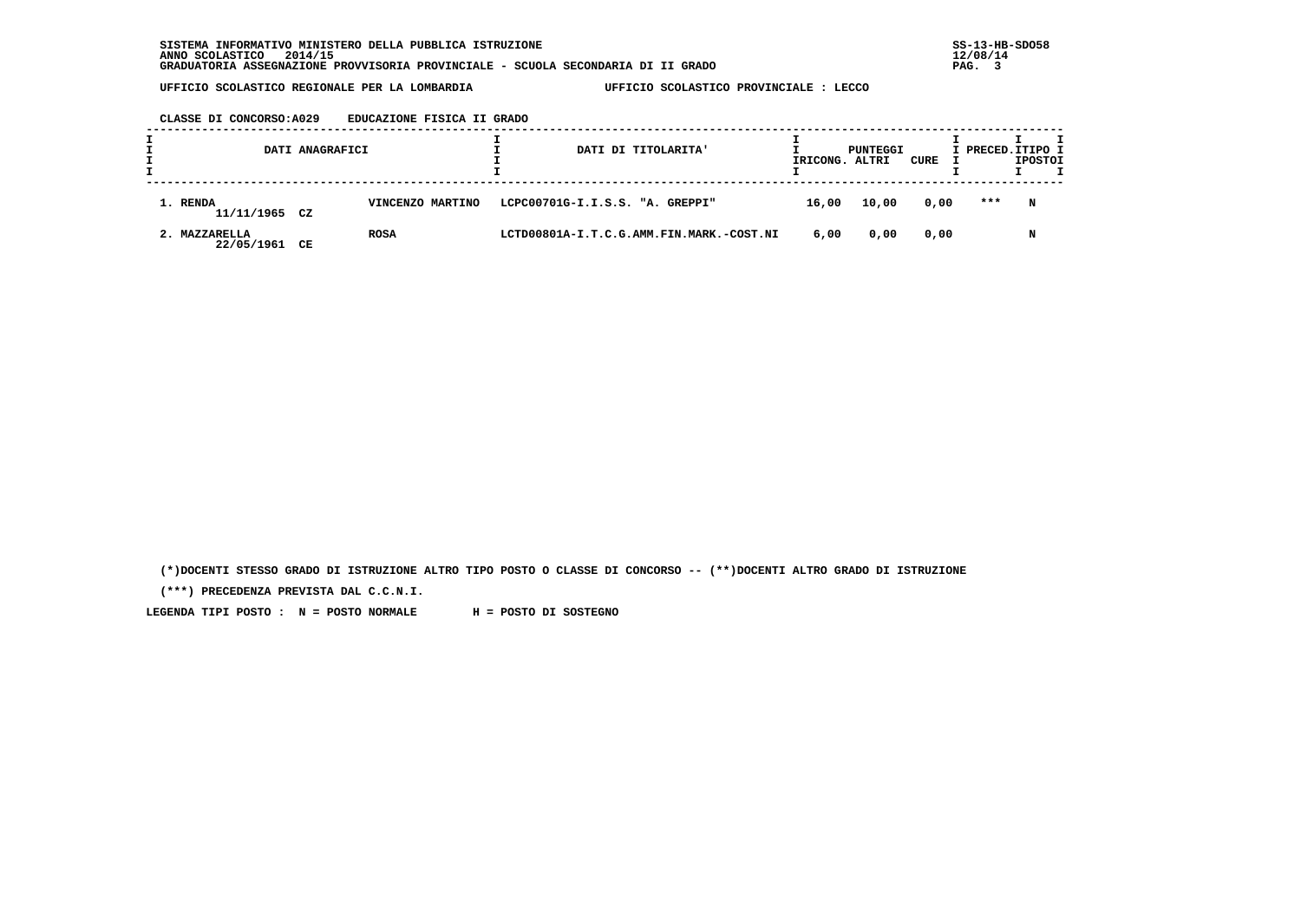| CLASSE DI CONCORSO:A029 | EDUCAZIONE FISICA II GRADO |  |  |
|-------------------------|----------------------------|--|--|
|                         |                            |  |  |

|                             | DATI ANAGRAFICI |                  |  | DATI DI TITOLARITA'                      |       | PUNTEGGI<br>IRICONG. ALTRI | CURE | I PRECED.ITIPO I | <b>IPOSTOI</b> |  |
|-----------------------------|-----------------|------------------|--|------------------------------------------|-------|----------------------------|------|------------------|----------------|--|
| 1. RENDA<br>11/11/1965 CZ   |                 | VINCENZO MARTINO |  | LCPC00701G-I.I.S.S. "A. GREPPI"          | 16,00 | 10,00                      | 0,00 | ***              | N              |  |
| 2. MAZZARELLA<br>22/05/1961 | CЕ              | <b>ROSA</b>      |  | LCTD00801A-I.T.C.G.AMM.FIN.MARK.-COST.NI | 6,00  | 0,00                       | 0,00 |                  | N              |  |

 **(\*)DOCENTI STESSO GRADO DI ISTRUZIONE ALTRO TIPO POSTO O CLASSE DI CONCORSO -- (\*\*)DOCENTI ALTRO GRADO DI ISTRUZIONE**

 **(\*\*\*) PRECEDENZA PREVISTA DAL C.C.N.I.**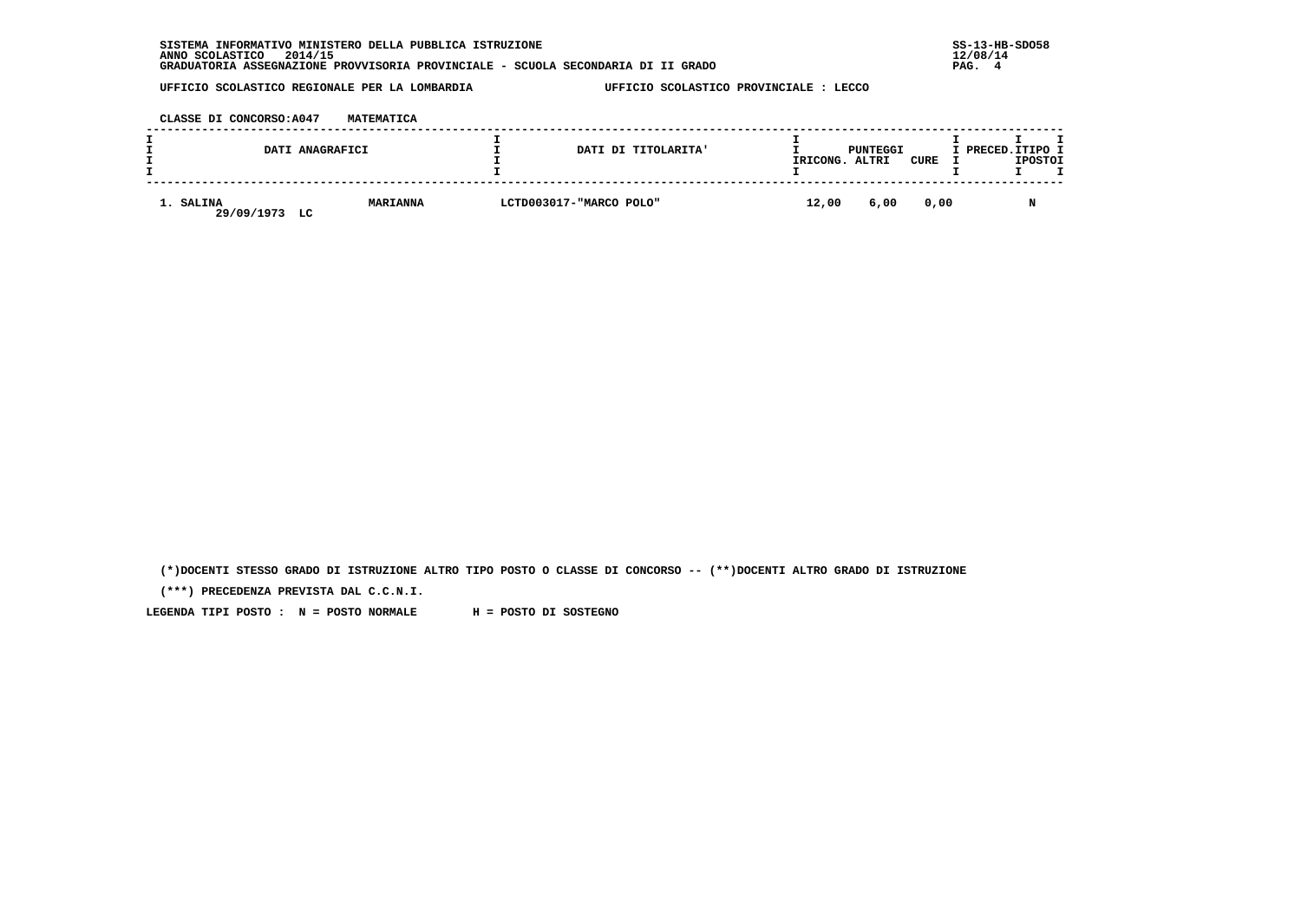| INFORMATIVO MINISTERO DELLA PUBBLICA ISTRUZIONE<br><b>SISTEMA</b>                | $SS-13-HE$ |
|----------------------------------------------------------------------------------|------------|
| 2014/15<br>ANNO SCOLASTICO                                                       | 12/08/14   |
| GRADUATORIA ASSEGNAZIONE PROVVISORIA PROVINCIALE - SCUOLA SECONDARIA DI II GRADO | PAG.       |

 **CLASSE DI CONCORSO:A047 MATEMATICA**

|                               | DATI ANAGRAFICI | DATI DI TITOLARITA'     | IRICONG. | PUNTEGGI<br>ALTRI | CURE | I PRECED.ITIPO I | <b>IPOSTOI</b> |  |
|-------------------------------|-----------------|-------------------------|----------|-------------------|------|------------------|----------------|--|
| 1. SALINA<br>29/09/1973<br>LC | <b>MARIANNA</b> | LCTD003017-"MARCO POLO" | 12,00    | 6,00              | 0,00 |                  |                |  |

 **(\*)DOCENTI STESSO GRADO DI ISTRUZIONE ALTRO TIPO POSTO O CLASSE DI CONCORSO -- (\*\*)DOCENTI ALTRO GRADO DI ISTRUZIONE**

 **(\*\*\*) PRECEDENZA PREVISTA DAL C.C.N.I.**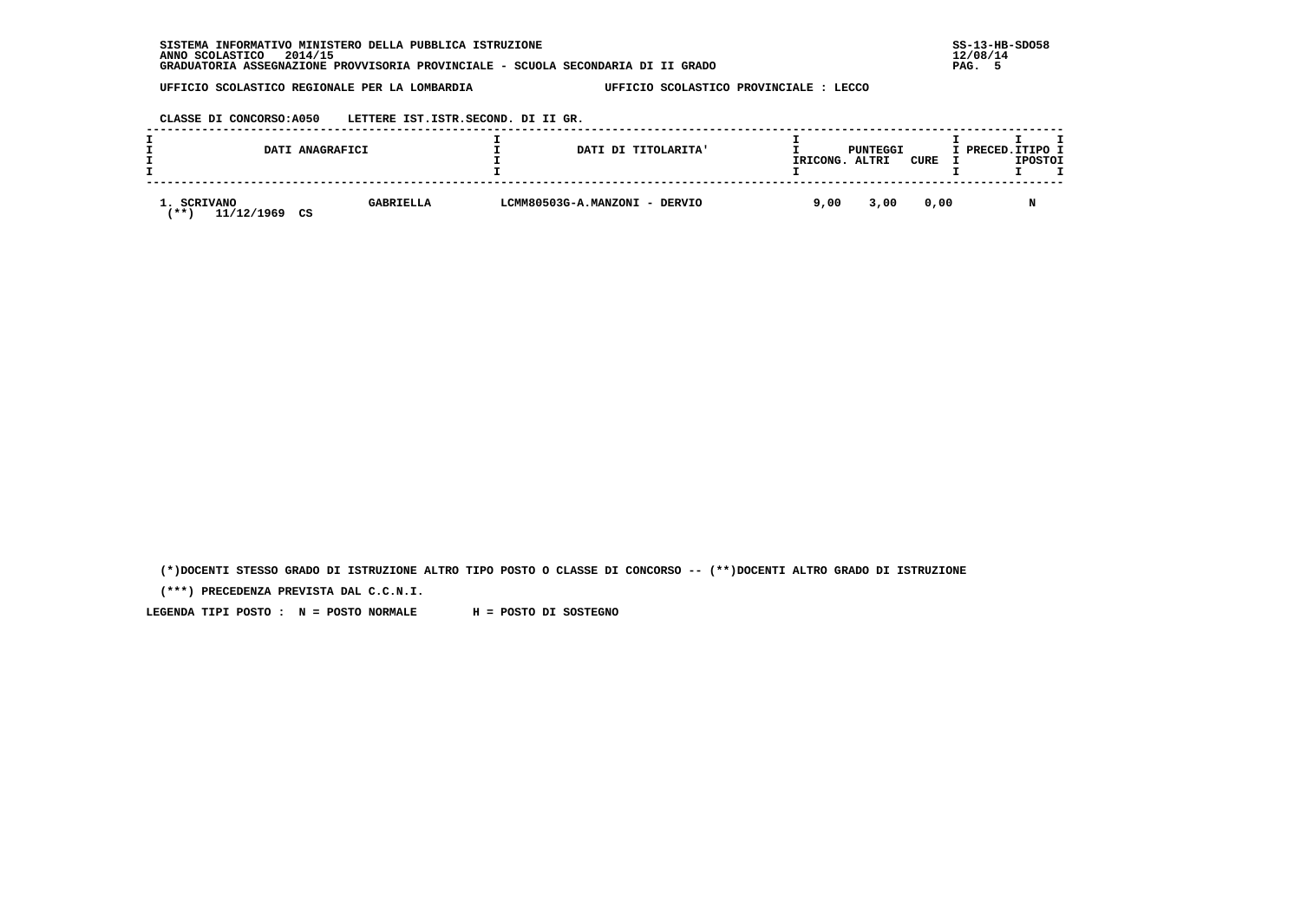| INFORMATIVO MINISTERO DELLA PUBBLICA ISTRUZIONE<br><b>SISTEMA</b>                | $SS-13-HE$ |
|----------------------------------------------------------------------------------|------------|
| 2014/15<br>ANNO SCOLASTICO                                                       | 12/08/14   |
| GRADUATORIA ASSEGNAZIONE PROVVISORIA PROVINCIALE - SCUOLA SECONDARIA DI II GRADO | PAG.       |

 **CLASSE DI CONCORSO:A050 LETTERE IST.ISTR.SECOND. DI II GR.**

|                                        | DATI ANAGRAFICI |                  |  | DATI DI TITOLARITA'           | IRICONG. | PUNTEGGI<br>ALTRI | CURE | I PRECED. ITIPO I | <b>IPOSTOI</b> |  |
|----------------------------------------|-----------------|------------------|--|-------------------------------|----------|-------------------|------|-------------------|----------------|--|
| 1. SCRIVANO<br>11/12/1969<br><b>**</b> | CS              | <b>GABRIELLA</b> |  | LCMM80503G-A.MANZONI - DERVIO | 9,00     | 3,00              | 0,00 |                   |                |  |

 **(\*)DOCENTI STESSO GRADO DI ISTRUZIONE ALTRO TIPO POSTO O CLASSE DI CONCORSO -- (\*\*)DOCENTI ALTRO GRADO DI ISTRUZIONE**

 **(\*\*\*) PRECEDENZA PREVISTA DAL C.C.N.I.**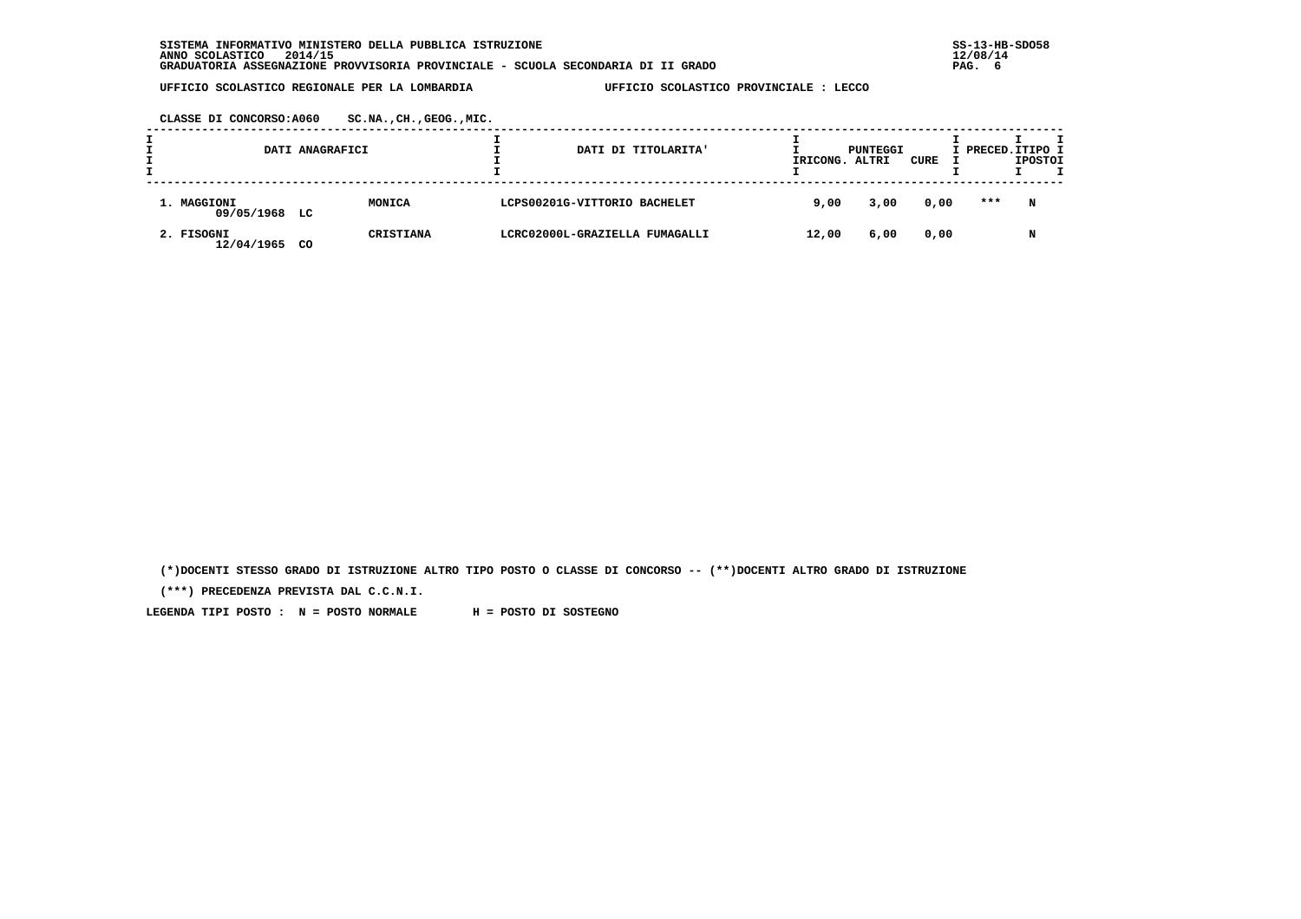**CLASSE DI CONCORSO:A060 SC.NA.,CH.,GEOG.,MIC.**

|                              | DATI ANAGRAFICI |                  | DATI DI TITOLARITA'            | IRICONG. ALTRI | PUNTEGGI | CURE | I PRECED.ITIPO I | <b>IPOSTOI</b> |  |
|------------------------------|-----------------|------------------|--------------------------------|----------------|----------|------|------------------|----------------|--|
| 1. MAGGIONI<br>09/05/1968 LC |                 | MONICA           | LCPS00201G-VITTORIO BACHELET   | 9,00           | 3,00     | 0,00 | ***              | N              |  |
| 2. FISOGNI<br>12/04/1965     | CO.             | <b>CRISTIANA</b> | LCRC02000L-GRAZIELLA FUMAGALLI | 12,00          | 6,00     | 0,00 |                  | N              |  |

 **(\*)DOCENTI STESSO GRADO DI ISTRUZIONE ALTRO TIPO POSTO O CLASSE DI CONCORSO -- (\*\*)DOCENTI ALTRO GRADO DI ISTRUZIONE**

 **(\*\*\*) PRECEDENZA PREVISTA DAL C.C.N.I.**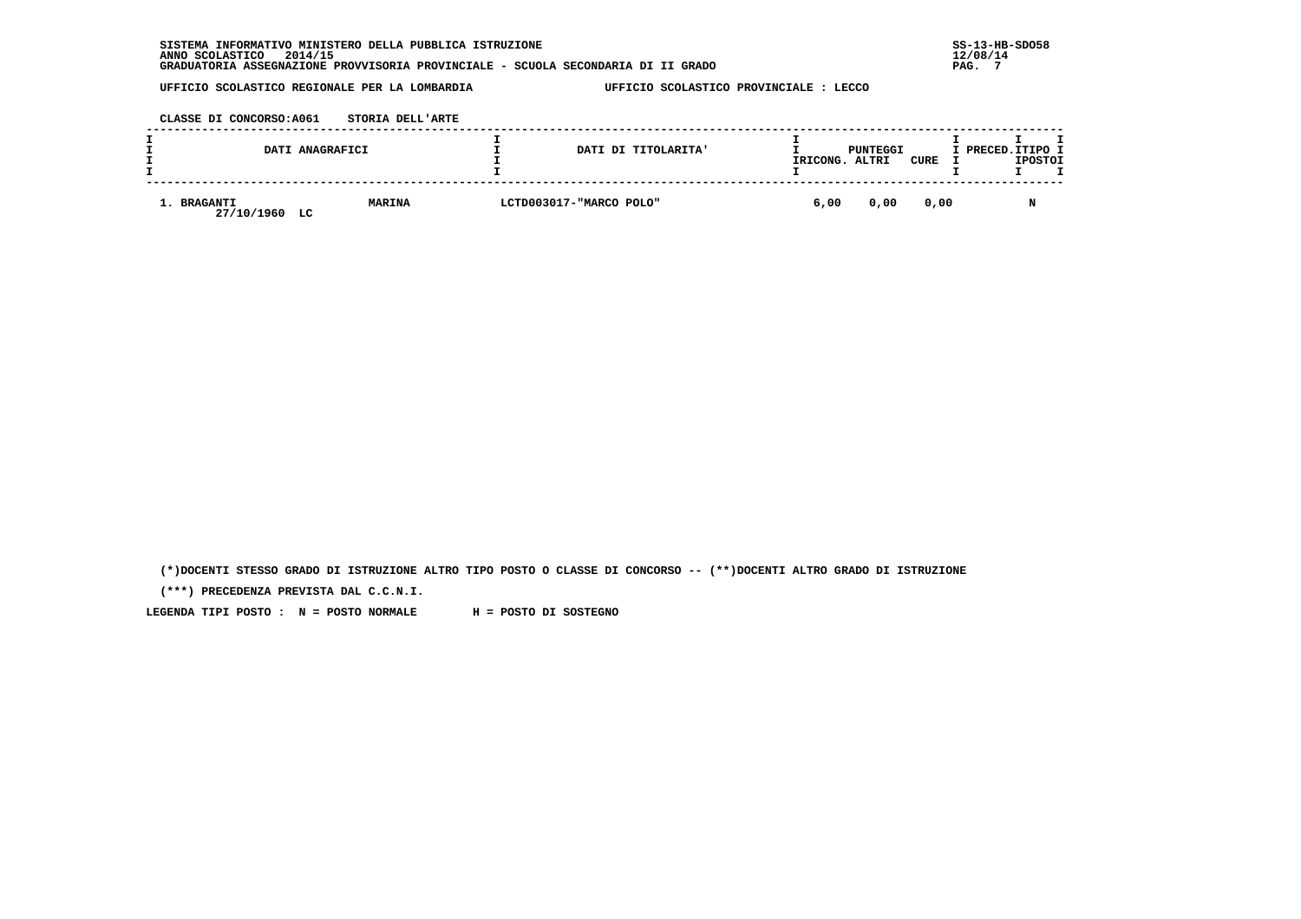| INFORMATIVO MINISTERO DELLA PUBBLICA ISTRUZIONE<br><b>SISTEMA</b>                | $SS-13-HE$ |
|----------------------------------------------------------------------------------|------------|
| 2014/15<br>ANNO SCOLASTICO                                                       | 12/08/14   |
| GRADUATORIA ASSEGNAZIONE PROVVISORIA PROVINCIALE - SCUOLA SECONDARIA DI II GRADO | PAG.       |

 **CLASSE DI CONCORSO:A061 STORIA DELL'ARTE**

|                                 | DATI ANAGRAFICI | DATI DI TITOLARITA'     | IRICONG. | PUNTEGGI<br>ALTRI | CURE | I PRECED.ITIPO I | <b>IPOSTOI</b> |  |
|---------------------------------|-----------------|-------------------------|----------|-------------------|------|------------------|----------------|--|
| 1. BRAGANTI<br>27/10/1960<br>LC | <b>MARINA</b>   | LCTD003017-"MARCO POLO" | 6,00     | 0,00              | 0,00 |                  |                |  |

 **(\*)DOCENTI STESSO GRADO DI ISTRUZIONE ALTRO TIPO POSTO O CLASSE DI CONCORSO -- (\*\*)DOCENTI ALTRO GRADO DI ISTRUZIONE**

 **(\*\*\*) PRECEDENZA PREVISTA DAL C.C.N.I.**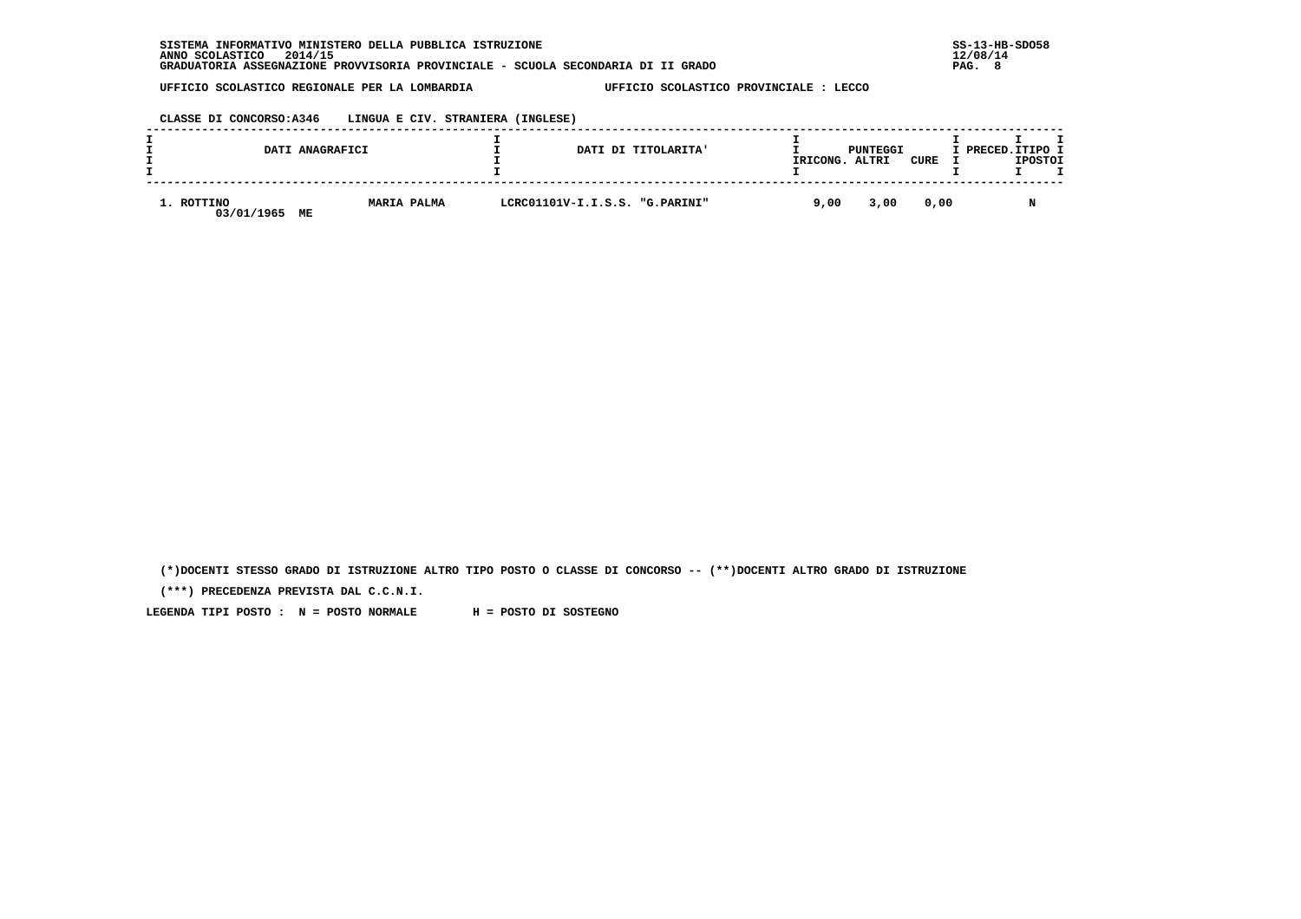**CLASSE DI CONCORSO:A346 LINGUA E CIV. STRANIERA (INGLESE)**

|                          | DATI ANAGRAFICI          | DATI DI TITOLARITA'            | IRICONG. | PUNTEGGI<br>ALTRI | CURE | I PRECED.ITIPO I<br><b>IPOSTOI</b> |
|--------------------------|--------------------------|--------------------------------|----------|-------------------|------|------------------------------------|
| 1. ROTTINO<br>03/01/1965 | <b>MARIA PALMA</b><br>ME | LCRC01101V-I.I.S.S. "G.PARINI" | 9,00     | 3,00              | 0,00 |                                    |

 **(\*)DOCENTI STESSO GRADO DI ISTRUZIONE ALTRO TIPO POSTO O CLASSE DI CONCORSO -- (\*\*)DOCENTI ALTRO GRADO DI ISTRUZIONE**

 **(\*\*\*) PRECEDENZA PREVISTA DAL C.C.N.I.**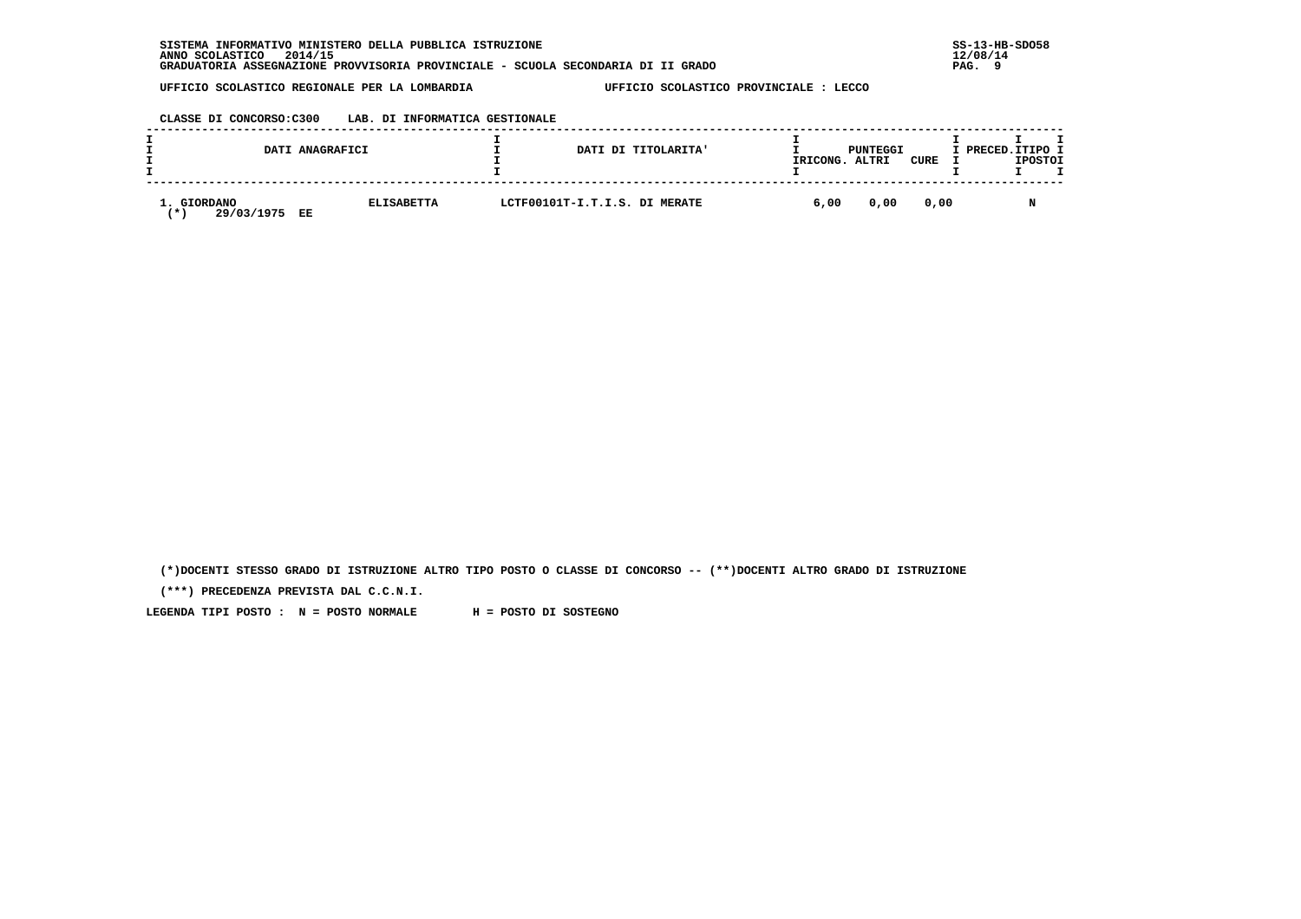### **CLASSE DI CONCORSO:C300 LAB. DI INFORMATICA GESTIONALE**

|                                          | DATI ANAGRAFICI         |  | DATI DI TITOLARITA'           | PUNTEGGI<br>IRICONG.<br>ALTRI<br>CURE |      |      | I PRECED.ITIPO I<br><b>IPOSTOI</b> |   |  |
|------------------------------------------|-------------------------|--|-------------------------------|---------------------------------------|------|------|------------------------------------|---|--|
| <b>GIORDANO</b><br>29/03/1975<br>$\star$ | <b>ELISABETTA</b><br>EE |  | LCTF00101T-I.T.I.S. DI MERATE | 6,00                                  | 0,00 | 0,00 |                                    | N |  |

 **(\*)DOCENTI STESSO GRADO DI ISTRUZIONE ALTRO TIPO POSTO O CLASSE DI CONCORSO -- (\*\*)DOCENTI ALTRO GRADO DI ISTRUZIONE**

 **(\*\*\*) PRECEDENZA PREVISTA DAL C.C.N.I.**